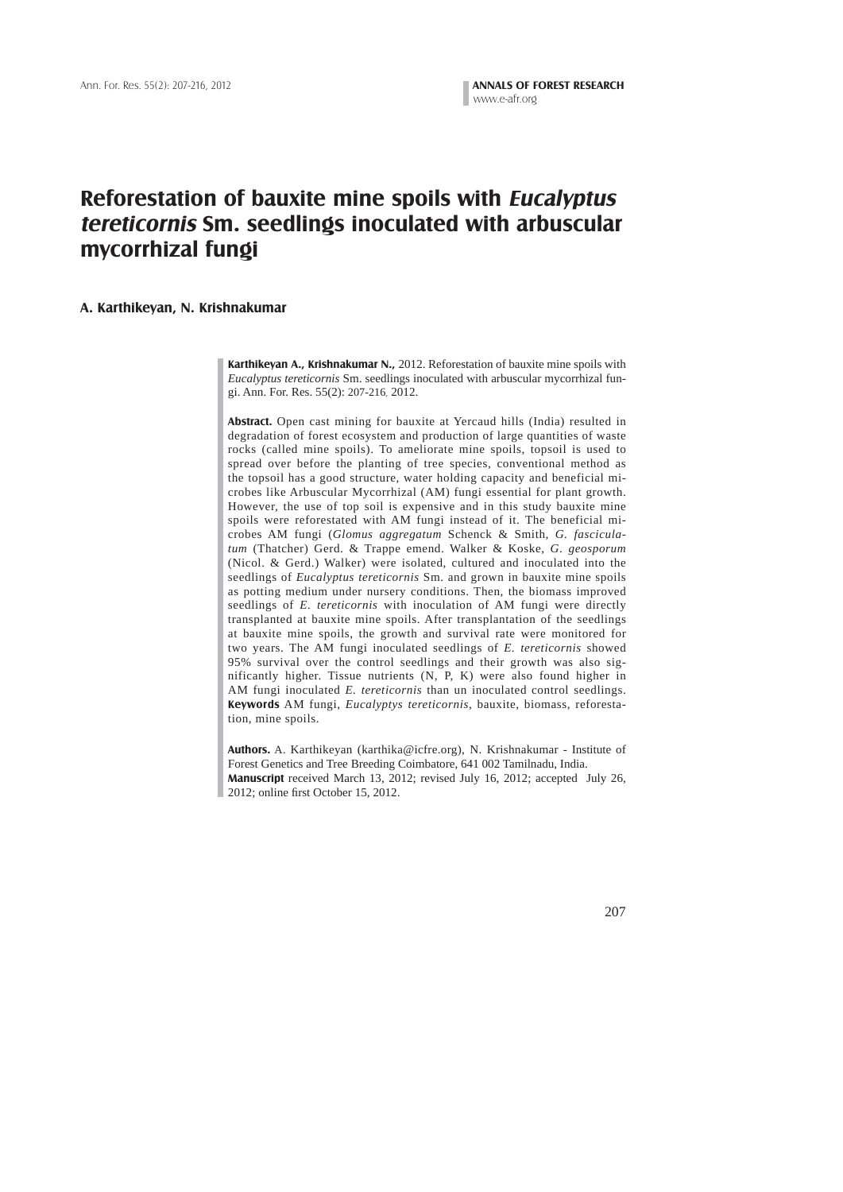# **Reforestation of bauxite mine spoils with Eucalyptus tereticornis Sm. seedlings inoculated with arbuscular mycorrhizal fungi**

#### **A. Karthikeyan, N. Krishnakumar**

**Karthikeyan A., Krishnakumar N.,** 2012. Reforestation of bauxite mine spoils with *Eucalyptus tereticornis* Sm. seedlings inoculated with arbuscular mycorrhizal fungi. Ann. For. Res. 55(2): 207-216, 2012.

**Abstract.** Open cast mining for bauxite at Yercaud hills (India) resulted in degradation of forest ecosystem and production of large quantities of waste rocks (called mine spoils). To ameliorate mine spoils, topsoil is used to spread over before the planting of tree species, conventional method as the topsoil has a good structure, water holding capacity and beneficial microbes like Arbuscular Mycorrhizal (AM) fungi essential for plant growth. However, the use of top soil is expensive and in this study bauxite mine spoils were reforestated with AM fungi instead of it. The beneficial microbes AM fungi (*Glomus aggregatum* Schenck & Smith, *G. fasciculatum* (Thatcher) Gerd. & Trappe emend. Walker & Koske, *G. geosporum* (Nicol. & Gerd.) Walker) were isolated, cultured and inoculated into the seedlings of *Eucalyptus tereticornis* Sm. and grown in bauxite mine spoils as potting medium under nursery conditions. Then, the biomass improved seedlings of *E. tereticornis* with inoculation of AM fungi were directly transplanted at bauxite mine spoils. After transplantation of the seedlings at bauxite mine spoils, the growth and survival rate were monitored for two years. The AM fungi inoculated seedlings of *E. tereticornis* showed 95% survival over the control seedlings and their growth was also significantly higher. Tissue nutrients (N, P, K) were also found higher in AM fungi inoculated *E. tereticornis* than un inoculated control seedlings. **Keywords** AM fungi, *Eucalyptys tereticornis*, bauxite, biomass, reforestation, mine spoils.

**Authors.** A. Karthikeyan (karthika@icfre.org), N. Krishnakumar - Institute of Forest Genetics and Tree Breeding Coimbatore, 641 002 Tamilnadu, India. **Manuscript** received March 13, 2012; revised July 16, 2012; accepted July 26, 2012; online first October 15, 2012.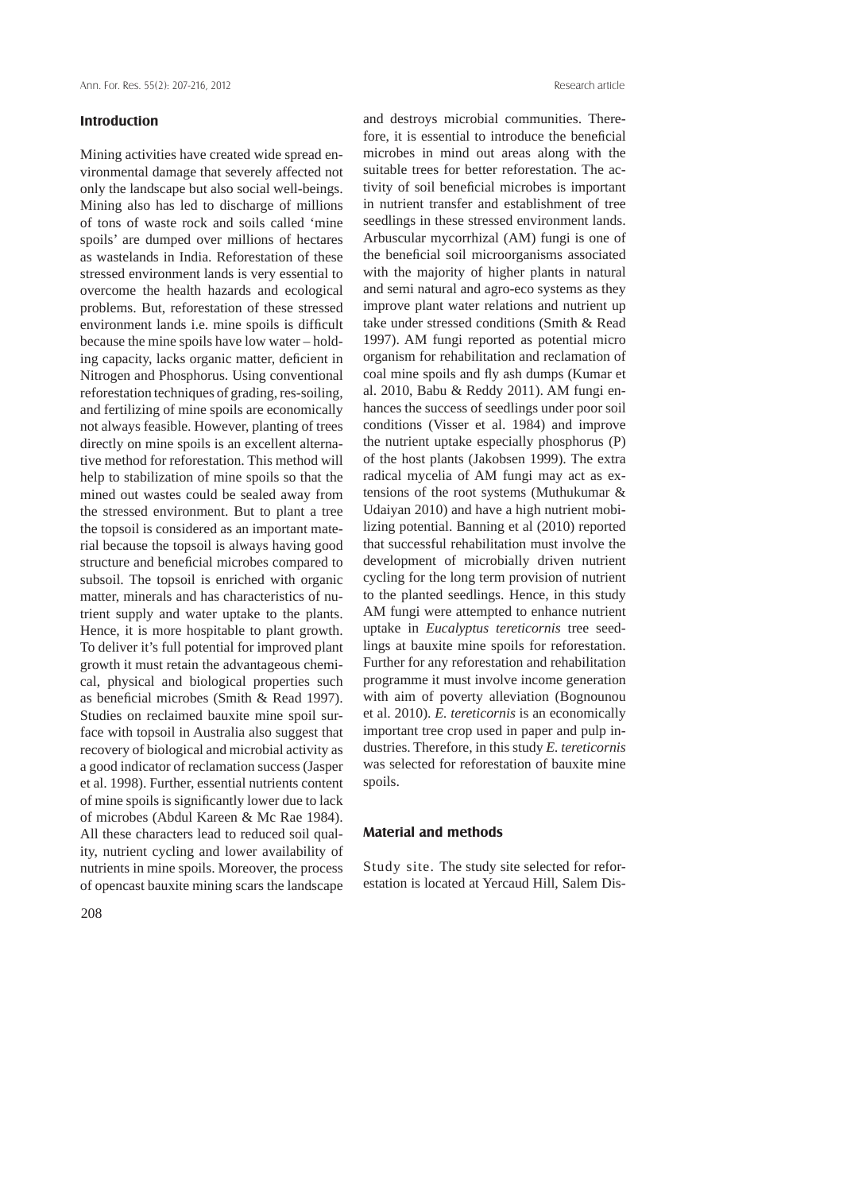# **Introduction**

Mining activities have created wide spread environmental damage that severely affected not only the landscape but also social well-beings. Mining also has led to discharge of millions of tons of waste rock and soils called 'mine spoils' are dumped over millions of hectares as wastelands in India. Reforestation of these stressed environment lands is very essential to overcome the health hazards and ecological problems. But, reforestation of these stressed environment lands i.e. mine spoils is difficult because the mine spoils have low water – holding capacity, lacks organic matter, deficient in Nitrogen and Phosphorus. Using conventional reforestation techniques of grading, res-soiling, and fertilizing of mine spoils are economically not always feasible. However, planting of trees directly on mine spoils is an excellent alternative method for reforestation. This method will help to stabilization of mine spoils so that the mined out wastes could be sealed away from the stressed environment. But to plant a tree the topsoil is considered as an important material because the topsoil is always having good structure and beneficial microbes compared to subsoil. The topsoil is enriched with organic matter, minerals and has characteristics of nutrient supply and water uptake to the plants. Hence, it is more hospitable to plant growth. To deliver it's full potential for improved plant growth it must retain the advantageous chemical, physical and biological properties such as beneficial microbes (Smith & Read 1997). Studies on reclaimed bauxite mine spoil surface with topsoil in Australia also suggest that recovery of biological and microbial activity as a good indicator of reclamation success (Jasper et al. 1998). Further, essential nutrients content of mine spoils is significantly lower due to lack of microbes (Abdul Kareen & Mc Rae 1984). All these characters lead to reduced soil quality, nutrient cycling and lower availability of nutrients in mine spoils. Moreover, the process of opencast bauxite mining scars the landscape and destroys microbial communities. Therefore, it is essential to introduce the beneficial microbes in mind out areas along with the suitable trees for better reforestation. The activity of soil beneficial microbes is important in nutrient transfer and establishment of tree seedlings in these stressed environment lands. Arbuscular mycorrhizal (AM) fungi is one of the beneficial soil microorganisms associated with the majority of higher plants in natural and semi natural and agro-eco systems as they improve plant water relations and nutrient up take under stressed conditions (Smith & Read 1997). AM fungi reported as potential micro organism for rehabilitation and reclamation of coal mine spoils and fly ash dumps (Kumar et al. 2010, Babu & Reddy 2011). AM fungi enhances the success of seedlings under poor soil conditions (Visser et al. 1984) and improve the nutrient uptake especially phosphorus (P) of the host plants (Jakobsen 1999). The extra radical mycelia of AM fungi may act as extensions of the root systems (Muthukumar & Udaiyan 2010) and have a high nutrient mobilizing potential. Banning et al (2010) reported that successful rehabilitation must involve the development of microbially driven nutrient cycling for the long term provision of nutrient to the planted seedlings. Hence, in this study AM fungi were attempted to enhance nutrient uptake in *Eucalyptus tereticornis* tree seedlings at bauxite mine spoils for reforestation. Further for any reforestation and rehabilitation programme it must involve income generation with aim of poverty alleviation (Bognounou et al. 2010). *E. tereticornis* is an economically important tree crop used in paper and pulp industries. Therefore, in this study *E. tereticornis* was selected for reforestation of bauxite mine spoils.

### **Material and methods**

Study site. The study site selected for reforestation is located at Yercaud Hill, Salem Dis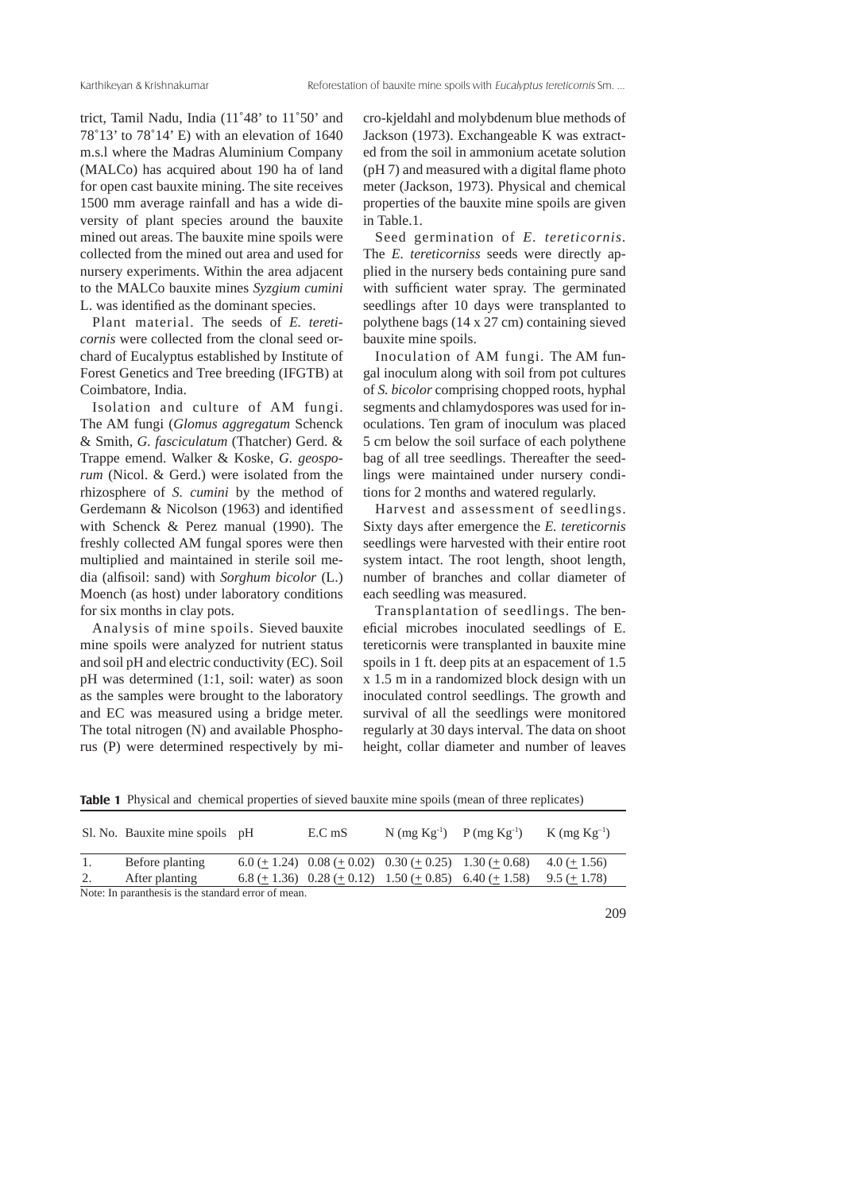trict, Tamil Nadu, India (11˚48' to 11˚50' and 78˚13' to 78˚14' E) with an elevation of 1640 m.s.l where the Madras Aluminium Company (MALCo) has acquired about 190 ha of land for open cast bauxite mining. The site receives 1500 mm average rainfall and has a wide diversity of plant species around the bauxite mined out areas. The bauxite mine spoils were collected from the mined out area and used for nursery experiments. Within the area adjacent to the MALCo bauxite mines *Syzgium cumini* L. was identified as the dominant species.

 Plant material. The seeds of *E. tereticornis* were collected from the clonal seed orchard of Eucalyptus established by Institute of Forest Genetics and Tree breeding (IFGTB) at Coimbatore, India.

 Isolation and culture of AM fungi. The AM fungi (*Glomus aggregatum* Schenck & Smith, *G. fasciculatum* (Thatcher) Gerd. & Trappe emend. Walker & Koske, *G. geosporum* (Nicol. & Gerd.) were isolated from the rhizosphere of *S. cumini* by the method of Gerdemann & Nicolson (1963) and identified with Schenck & Perez manual (1990). The freshly collected AM fungal spores were then multiplied and maintained in sterile soil media (alfisoil: sand) with *Sorghum bicolor* (L.) Moench (as host) under laboratory conditions for six months in clay pots.

 Analysis of mine spoils. Sieved bauxite mine spoils were analyzed for nutrient status and soil pH and electric conductivity (EC). Soil pH was determined (1:1, soil: water) as soon as the samples were brought to the laboratory and EC was measured using a bridge meter. The total nitrogen (N) and available Phosphorus (P) were determined respectively by micro-kjeldahl and molybdenum blue methods of Jackson (1973). Exchangeable K was extracted from the soil in ammonium acetate solution  $(pH 7)$  and measured with a digital flame photo meter (Jackson, 1973). Physical and chemical properties of the bauxite mine spoils are given in Table.1.

 Seed germination of *E. tereticornis.*  The *E. tereticorniss* seeds were directly applied in the nursery beds containing pure sand with sufficient water spray. The germinated seedlings after 10 days were transplanted to polythene bags (14 x 27 cm) containing sieved bauxite mine spoils.

 Inoculation of AM fungi. The AM fungal inoculum along with soil from pot cultures of *S. bicolor* comprising chopped roots, hyphal segments and chlamydospores was used for inoculations. Ten gram of inoculum was placed 5 cm below the soil surface of each polythene bag of all tree seedlings. Thereafter the seedlings were maintained under nursery conditions for 2 months and watered regularly.

 Harvest and assessment of seedlings. Sixty days after emergence the *E. tereticornis* seedlings were harvested with their entire root system intact. The root length, shoot length, number of branches and collar diameter of each seedling was measured.

 Transplantation of seedlings. The beneficial microbes inoculated seedlings of E. tereticornis were transplanted in bauxite mine spoils in 1 ft. deep pits at an espacement of 1.5 x 1.5 m in a randomized block design with un inoculated control seedlings. The growth and survival of all the seedlings were monitored regularly at 30 days interval. The data on shoot height, collar diameter and number of leaves

Sl. No. Bauxite mine spoils pH E.C mS N  $(mg Kg^{-1})$  P  $(mg Kg^{-1})$  K  $(mg Kg^{-1})$ 1. Before planting 6.0 (+ 1.24) 0.08 (+ 0.02) 0.30 (+ 0.25) 1.30 (+ 0.68) 4.0 (+ 1.56) After planting 6.8 ( $\pm$  1.36) 0.28 ( $\pm$  0.12) 1.50 ( $\pm$  0.85) 6.40 ( $\pm$  1.58) 9.5 ( $\pm$  1.78)

**Table 1** Physical and chemical properties of sieved bauxite mine spoils (mean of three replicates)

Note: In paranthesis is the standard error of mean.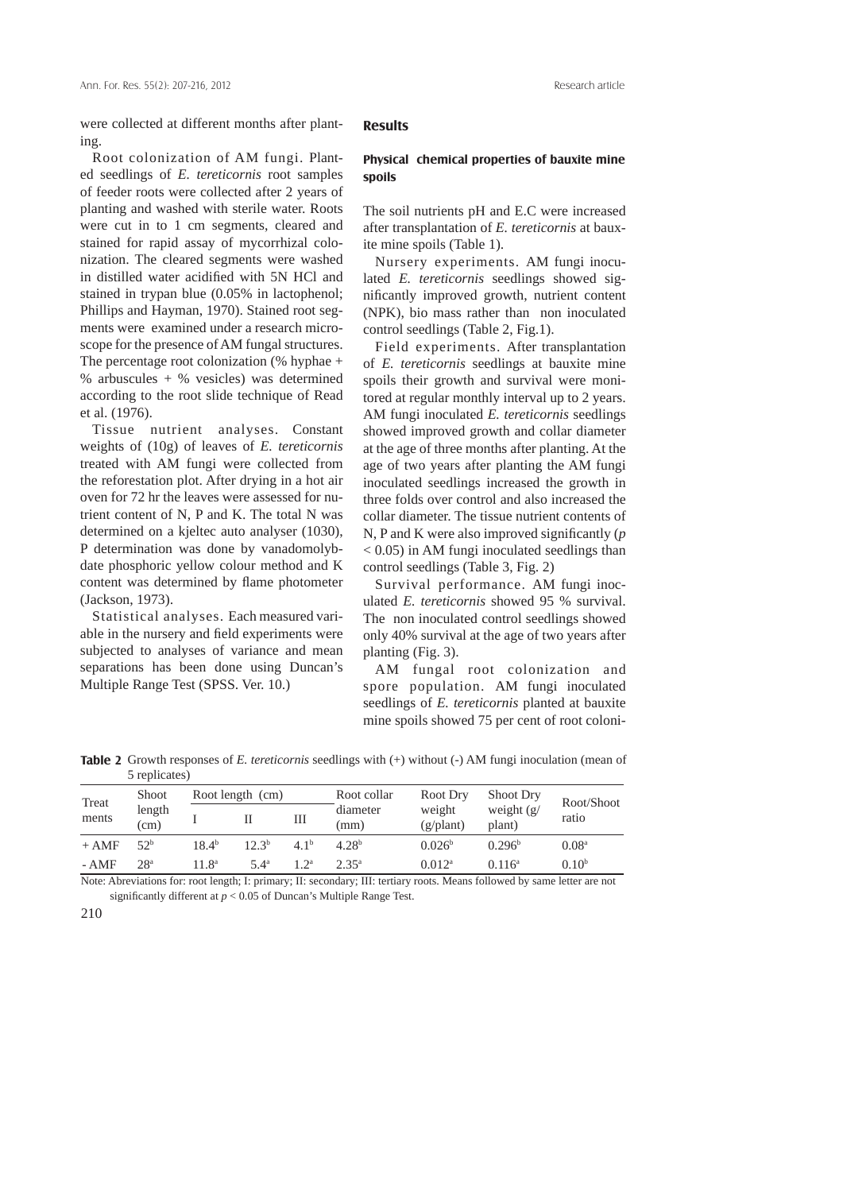were collected at different months after planting.

 Root colonization of AM fungi. Planted seedlings of *E. tereticornis* root samples of feeder roots were collected after 2 years of planting and washed with sterile water. Roots were cut in to 1 cm segments, cleared and stained for rapid assay of mycorrhizal colonization. The cleared segments were washed in distilled water acidified with 5N HCl and stained in trypan blue (0.05% in lactophenol; Phillips and Hayman, 1970). Stained root segments were examined under a research microscope for the presence of AM fungal structures. The percentage root colonization (% hyphae + % arbuscules + % vesicles) was determined according to the root slide technique of Read et al. (1976).

 Tissue nutrient analyses. Constant weights of (10g) of leaves of *E. tereticornis* treated with AM fungi were collected from the reforestation plot. After drying in a hot air oven for 72 hr the leaves were assessed for nutrient content of N, P and K. The total N was determined on a kjeltec auto analyser (1030), P determination was done by vanadomolybdate phosphoric yellow colour method and K content was determined by flame photometer (Jackson, 1973).

 Statistical analyses. Each measured variable in the nursery and field experiments were subjected to analyses of variance and mean separations has been done using Duncan's Multiple Range Test (SPSS. Ver. 10.)

#### **Results**

#### **Physical chemical properties of bauxite mine spoils**

The soil nutrients pH and E.C were increased after transplantation of *E. tereticornis* at bauxite mine spoils (Table 1).

 Nursery experiments. AM fungi inoculated *E. tereticornis* seedlings showed significantly improved growth, nutrient content (NPK), bio mass rather than non inoculated control seedlings (Table 2, Fig.1).

 Field experiments. After transplantation of *E. tereticornis* seedlings at bauxite mine spoils their growth and survival were monitored at regular monthly interval up to 2 years. AM fungi inoculated *E. tereticornis* seedlings showed improved growth and collar diameter at the age of three months after planting. At the age of two years after planting the AM fungi inoculated seedlings increased the growth in three folds over control and also increased the collar diameter. The tissue nutrient contents of N, P and K were also improved significantly  $(p)$ < 0.05) in AM fungi inoculated seedlings than control seedlings (Table 3, Fig. 2)

 Survival performance. AM fungi inoculated *E. tereticornis* showed 95 % survival. The non inoculated control seedlings showed only 40% survival at the age of two years after planting (Fig. 3).

 AM fungal root colonization and spore population. AM fungi inoculated seedlings of *E. tereticornis* planted at bauxite mine spoils showed 75 per cent of root coloni-

**Table 2** Growth responses of *E. tereticornis* seedlings with (+) without (-) AM fungi inoculation (mean of 5 replicates)

| Treat<br>ments | <b>Shoot</b><br>length<br>(cm) | Root length (cm)  |                   |                 | Root collar       | Root Dry                     | <b>Shoot Dry</b>       |                     |
|----------------|--------------------------------|-------------------|-------------------|-----------------|-------------------|------------------------------|------------------------|---------------------|
|                |                                |                   |                   | Ш               | diameter<br>(mm)  | weight<br>$(g/\text{plant})$ | weight $(g)$<br>plant) | Root/Shoot<br>ratio |
| $+ AMF$        | 52 <sup>b</sup>                | 18.4 <sup>b</sup> | 12.3 <sup>b</sup> | 41 <sup>b</sup> | 4.28 <sup>b</sup> | 0.026 <sup>b</sup>           | 0.296 <sup>b</sup>     | 0.08 <sup>a</sup>   |
| - AMF          | 28 <sup>a</sup>                | $11.8^{\circ}$    | $5.4^\text{a}$    | 1 7a            | 2.35a             | $0.012^a$                    | $0.116^a$              | 0.10 <sup>b</sup>   |

Note: Abreviations for: root length; I: primary; II: secondary; III: tertiary roots. Means followed by same letter are not significantly different at  $p < 0.05$  of Duncan's Multiple Range Test.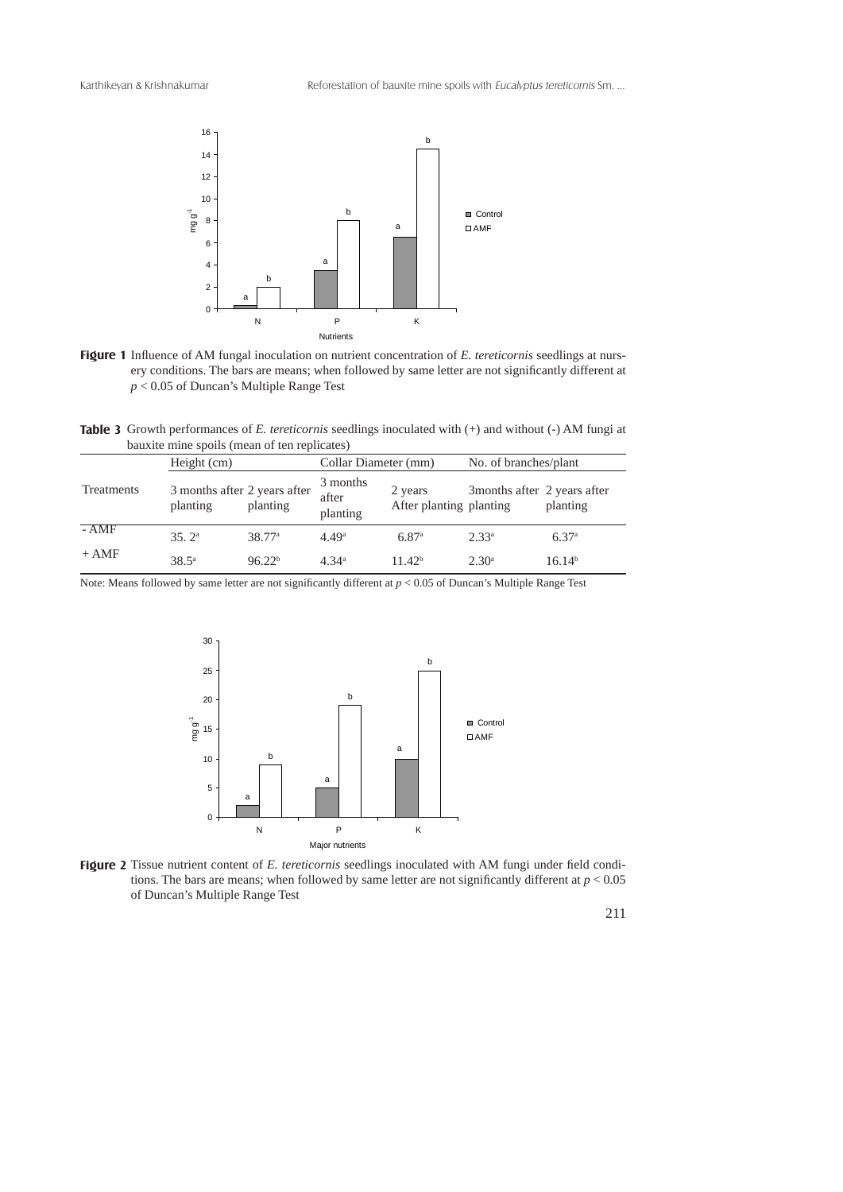



**Table 3** Growth performances of *E. tereticornis* seedlings inoculated with (+) and without (-) AM fungi at bauxite mine spoils (mean of ten replicates)

|                   | Height (cm)                              |                    | Collar Diameter (mm)          |                                    | No. of branches/plant        |                    |
|-------------------|------------------------------------------|--------------------|-------------------------------|------------------------------------|------------------------------|--------------------|
| <b>Treatments</b> | 3 months after 2 years after<br>planting | planting           | 3 months<br>after<br>planting | 2 years<br>After planting planting | 3 months after 2 years after | planting           |
| $-AMF$            | 35.2 <sup>a</sup>                        | 38.77 <sup>a</sup> | 4.49 <sup>a</sup>             | 6.87 <sup>a</sup>                  | 2.33 <sup>a</sup>            | 6.37 <sup>a</sup>  |
| $+ AMF$           | $38.5^{\circ}$                           | 96.22 <sup>b</sup> | 4.34 <sup>a</sup>             | 11.42 <sup>b</sup>                 | 2.30 <sup>a</sup>            | 16.14 <sup>b</sup> |

Note: Means followed by same letter are not significantly different at  $p < 0.05$  of Duncan's Multiple Range Test



Figure 2 Tissue nutrient content of E. tereticornis seedlings inoculated with AM fungi under field conditions. The bars are means; when followed by same letter are not significantly different at  $p < 0.05$ of Duncan's Multiple Range Test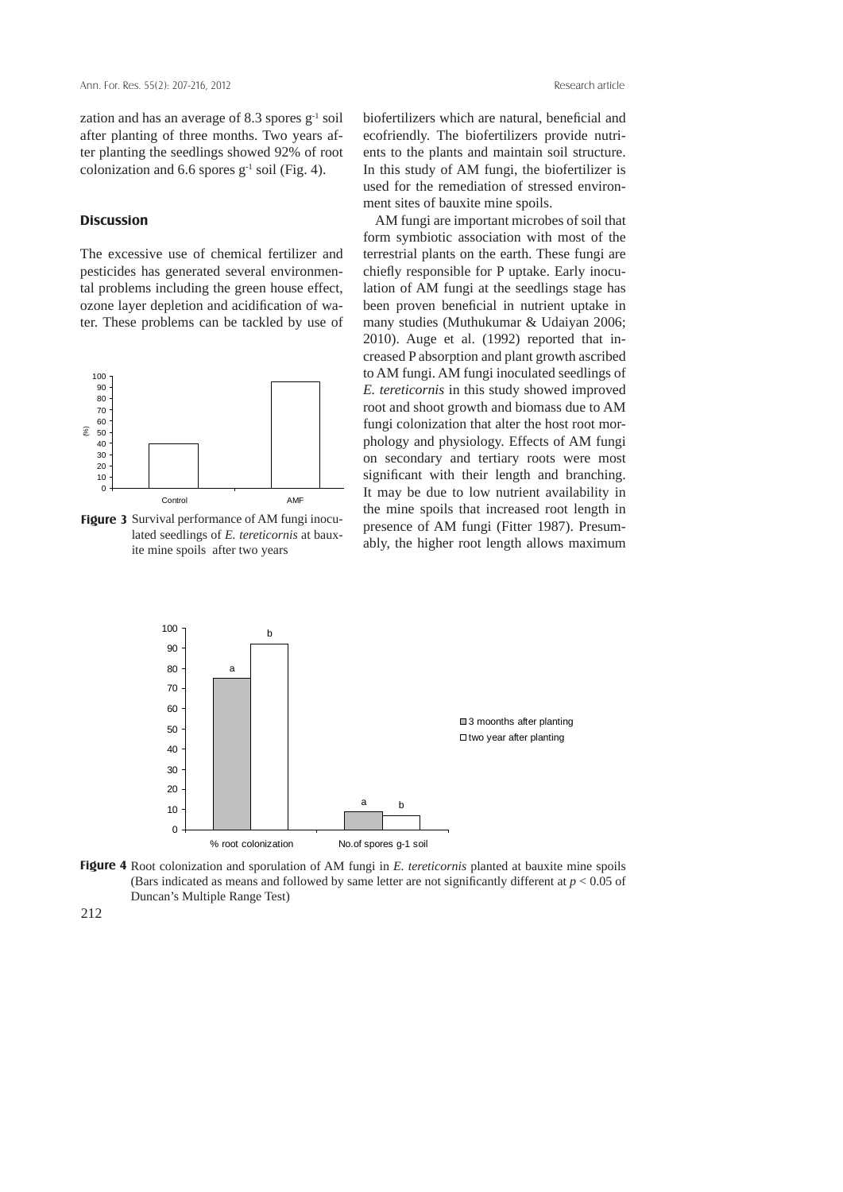zation and has an average of 8.3 spores  $g^{-1}$  soil after planting of three months. Two years after planting the seedlings showed 92% of root colonization and 6.6 spores  $g^{-1}$  soil (Fig. 4).

# **Discussion**

The excessive use of chemical fertilizer and pesticides has generated several environmental problems including the green house effect, ozone layer depletion and acidification of water. These problems can be tackled by use of



Figure 3 Survival performance of AM fungi inoculated seedlings of *E. tereticornis* at bauxite mine spoils after two years

biofertilizers which are natural, beneficial and ecofriendly. The biofertilizers provide nutrients to the plants and maintain soil structure. In this study of AM fungi, the biofertilizer is used for the remediation of stressed environment sites of bauxite mine spoils.

 AM fungi are important microbes of soil that form symbiotic association with most of the terrestrial plants on the earth. These fungi are chiefly responsible for P uptake. Early inoculation of AM fungi at the seedlings stage has been proven beneficial in nutrient uptake in many studies (Muthukumar & Udaiyan 2006; 2010). Auge et al. (1992) reported that increased P absorption and plant growth ascribed to AM fungi. AM fungi inoculated seedlings of *E. tereticornis* in this study showed improved root and shoot growth and biomass due to AM fungi colonization that alter the host root morphology and physiology. Effects of AM fungi on secondary and tertiary roots were most significant with their length and branching. It may be due to low nutrient availability in the mine spoils that increased root length in presence of AM fungi (Fitter 1987). Presumably, the higher root length allows maximum



Figure 4 Root colonization and sporulation of AM fungi in E. tereticornis planted at bauxite mine spoils (Bars indicated as means and followed by same letter are not significantly different at  $p < 0.05$  of Duncan's Multiple Range Test)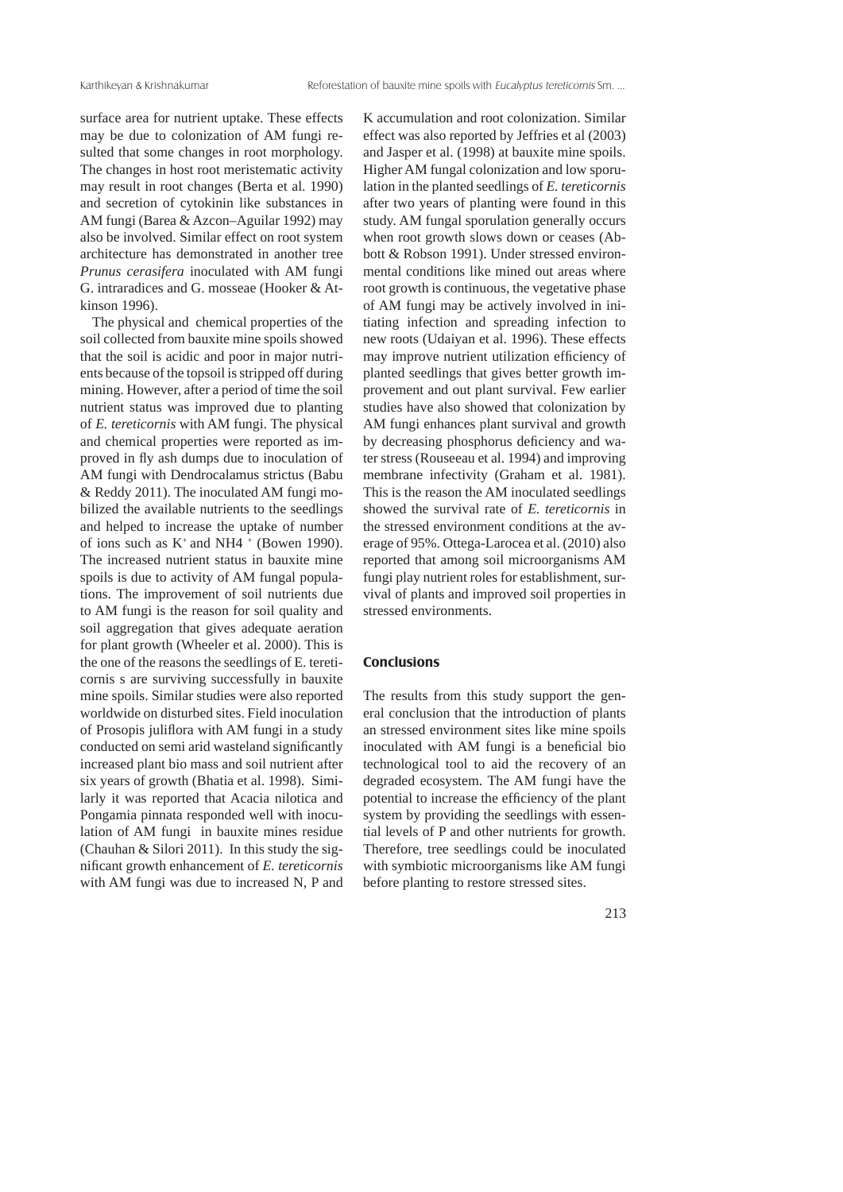surface area for nutrient uptake. These effects may be due to colonization of AM fungi resulted that some changes in root morphology. The changes in host root meristematic activity may result in root changes (Berta et al. 1990) and secretion of cytokinin like substances in AM fungi (Barea & Azcon–Aguilar 1992) may also be involved. Similar effect on root system architecture has demonstrated in another tree *Prunus cerasifera* inoculated with AM fungi G. intraradices and G. mosseae (Hooker & Atkinson 1996).

 The physical and chemical properties of the soil collected from bauxite mine spoils showed that the soil is acidic and poor in major nutrients because of the topsoil is stripped off during mining. However, after a period of time the soil nutrient status was improved due to planting of *E. tereticornis* with AM fungi. The physical and chemical properties were reported as improved in fly ash dumps due to inoculation of AM fungi with Dendrocalamus strictus (Babu & Reddy 2011). The inoculated AM fungi mobilized the available nutrients to the seedlings and helped to increase the uptake of number of ions such as  $K^+$  and NH4  $^+$  (Bowen 1990). The increased nutrient status in bauxite mine spoils is due to activity of AM fungal populations. The improvement of soil nutrients due to AM fungi is the reason for soil quality and soil aggregation that gives adequate aeration for plant growth (Wheeler et al. 2000). This is the one of the reasons the seedlings of E. tereticornis s are surviving successfully in bauxite mine spoils. Similar studies were also reported worldwide on disturbed sites. Field inoculation of Prosopis juliflora with AM fungi in a study conducted on semi arid wasteland significantly increased plant bio mass and soil nutrient after six years of growth (Bhatia et al. 1998). Similarly it was reported that Acacia nilotica and Pongamia pinnata responded well with inoculation of AM fungi in bauxite mines residue (Chauhan & Silori 2011). In this study the significant growth enhancement of *E. tereticornis* with AM fungi was due to increased N, P and

K accumulation and root colonization. Similar effect was also reported by Jeffries et al (2003) and Jasper et al. (1998) at bauxite mine spoils. Higher AM fungal colonization and low sporulation in the planted seedlings of *E. tereticornis* after two years of planting were found in this study. AM fungal sporulation generally occurs when root growth slows down or ceases (Abbott & Robson 1991). Under stressed environmental conditions like mined out areas where root growth is continuous, the vegetative phase of AM fungi may be actively involved in initiating infection and spreading infection to new roots (Udaiyan et al. 1996). These effects may improve nutrient utilization efficiency of planted seedlings that gives better growth improvement and out plant survival. Few earlier studies have also showed that colonization by AM fungi enhances plant survival and growth by decreasing phosphorus deficiency and water stress (Rouseeau et al. 1994) and improving membrane infectivity (Graham et al. 1981). This is the reason the AM inoculated seedlings showed the survival rate of *E. tereticornis* in the stressed environment conditions at the average of 95%. Ottega-Larocea et al. (2010) also reported that among soil microorganisms AM fungi play nutrient roles for establishment, survival of plants and improved soil properties in stressed environments.

# **Conclusions**

The results from this study support the general conclusion that the introduction of plants an stressed environment sites like mine spoils inoculated with AM fungi is a beneficial bio technological tool to aid the recovery of an degraded ecosystem. The AM fungi have the potential to increase the efficiency of the plant system by providing the seedlings with essential levels of P and other nutrients for growth. Therefore, tree seedlings could be inoculated with symbiotic microorganisms like AM fungi before planting to restore stressed sites.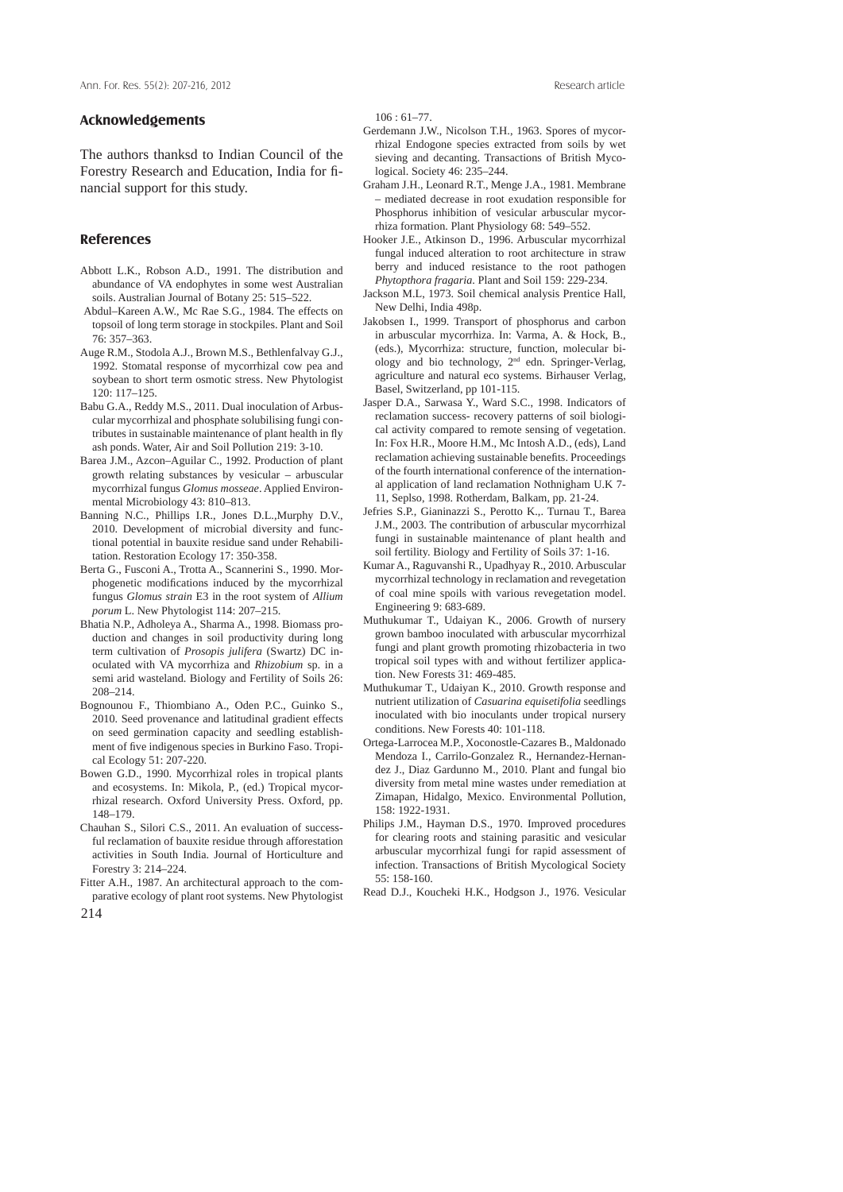#### **Acknowledgements**

The authors thanksd to Indian Council of the Forestry Research and Education, India for financial support for this study.

### **References**

- Abbott L.K., Robson A.D., 1991. The distribution and abundance of VA endophytes in some west Australian soils. Australian Journal of Botany 25: 515–522.
- Abdul–Kareen A.W., Mc Rae S.G., 1984. The effects on topsoil of long term storage in stockpiles. Plant and Soil 76: 357–363.
- Auge R.M., Stodola A.J., Brown M.S., Bethlenfalvay G.J., 1992. Stomatal response of mycorrhizal cow pea and soybean to short term osmotic stress. New Phytologist 120: 117–125.
- Babu G.A., Reddy M.S., 2011. Dual inoculation of Arbuscular mycorrhizal and phosphate solubilising fungi contributes in sustainable maintenance of plant health in fly ash ponds. Water, Air and Soil Pollution 219: 3-10.
- Barea J.M., Azcon–Aguilar C., 1992. Production of plant growth relating substances by vesicular – arbuscular mycorrhizal fungus *Glomus mosseae*. Applied Environmental Microbiology 43: 810–813.
- Banning N.C., Phillips I.R., Jones D.L.,Murphy D.V., 2010. Development of microbial diversity and functional potential in bauxite residue sand under Rehabilitation. Restoration Ecology 17: 350-358.
- Berta G., Fusconi A., Trotta A., Scannerini S., 1990. Morphogenetic modifications induced by the mycorrhizal fungus *Glomus strain* E3 in the root system of *Allium porum* L. New Phytologist 114: 207–215.
- Bhatia N.P., Adholeya A., Sharma A., 1998. Biomass production and changes in soil productivity during long term cultivation of *Prosopis julifera* (Swartz) DC inoculated with VA mycorrhiza and *Rhizobium* sp. in a semi arid wasteland. Biology and Fertility of Soils 26: 208–214.
- Bognounou F., Thiombiano A., Oden P.C., Guinko S., 2010. Seed provenance and latitudinal gradient effects on seed germination capacity and seedling establishment of five indigenous species in Burkino Faso. Tropical Ecology 51: 207-220.
- Bowen G.D., 1990. Mycorrhizal roles in tropical plants and ecosystems. In: Mikola, P., (ed.) Tropical mycorrhizal research. Oxford University Press. Oxford, pp. 148–179.
- Chauhan S., Silori C.S., 2011. An evaluation of successful reclamation of bauxite residue through afforestation activities in South India. Journal of Horticulture and Forestry 3: 214–224.
- Fitter A.H., 1987. An architectural approach to the comparative ecology of plant root systems. New Phytologist
- 214

106 : 61–77.

- Gerdemann J.W., Nicolson T.H., 1963. Spores of mycorrhizal Endogone species extracted from soils by wet sieving and decanting. Transactions of British Mycological. Society 46: 235–244.
- Graham J.H., Leonard R.T., Menge J.A., 1981. Membrane – mediated decrease in root exudation responsible for Phosphorus inhibition of vesicular arbuscular mycorrhiza formation. Plant Physiology 68: 549–552.
- Hooker J.E., Atkinson D., 1996. Arbuscular mycorrhizal fungal induced alteration to root architecture in straw berry and induced resistance to the root pathogen *Phytopthora fragaria*. Plant and Soil 159: 229-234.
- Jackson M.L, 1973. Soil chemical analysis Prentice Hall, New Delhi, India 498p.
- Jakobsen I., 1999. Transport of phosphorus and carbon in arbuscular mycorrhiza. In: Varma, A. & Hock, B., (eds.), Mycorrhiza: structure, function, molecular biology and bio technology, 2nd edn. Springer-Verlag, agriculture and natural eco systems. Birhauser Verlag, Basel, Switzerland, pp 101-115.
- Jasper D.A., Sarwasa Y., Ward S.C., 1998. Indicators of reclamation success- recovery patterns of soil biological activity compared to remote sensing of vegetation. In: Fox H.R., Moore H.M., Mc Intosh A.D., (eds), Land reclamation achieving sustainable benefits. Proceedings of the fourth international conference of the international application of land reclamation Nothnigham U.K 7- 11, Seplso, 1998. Rotherdam, Balkam, pp. 21-24.
- Jefries S.P., Gianinazzi S., Perotto K.,. Turnau T., Barea J.M., 2003. The contribution of arbuscular mycorrhizal fungi in sustainable maintenance of plant health and soil fertility. Biology and Fertility of Soils 37: 1-16.
- Kumar A., Raguvanshi R., Upadhyay R., 2010. Arbuscular mycorrhizal technology in reclamation and revegetation of coal mine spoils with various revegetation model. Engineering 9: 683-689.
- Muthukumar T., Udaiyan K., 2006. Growth of nursery grown bamboo inoculated with arbuscular mycorrhizal fungi and plant growth promoting rhizobacteria in two tropical soil types with and without fertilizer application. New Forests 31: 469-485.
- Muthukumar T., Udaiyan K., 2010. Growth response and nutrient utilization of *Casuarina equisetifolia* seedlings inoculated with bio inoculants under tropical nursery conditions. New Forests 40: 101-118.
- Ortega-Larrocea M.P., Xoconostle-Cazares B., Maldonado Mendoza I., Carrilo-Gonzalez R., Hernandez-Hernandez J., Diaz Gardunno M., 2010. Plant and fungal bio diversity from metal mine wastes under remediation at Zimapan, Hidalgo, Mexico. Environmental Pollution, 158: 1922-1931.
- Philips J.M., Hayman D.S., 1970. Improved procedures for clearing roots and staining parasitic and vesicular arbuscular mycorrhizal fungi for rapid assessment of infection. Transactions of British Mycological Society 55: 158-160.
- Read D.J., Koucheki H.K., Hodgson J., 1976. Vesicular